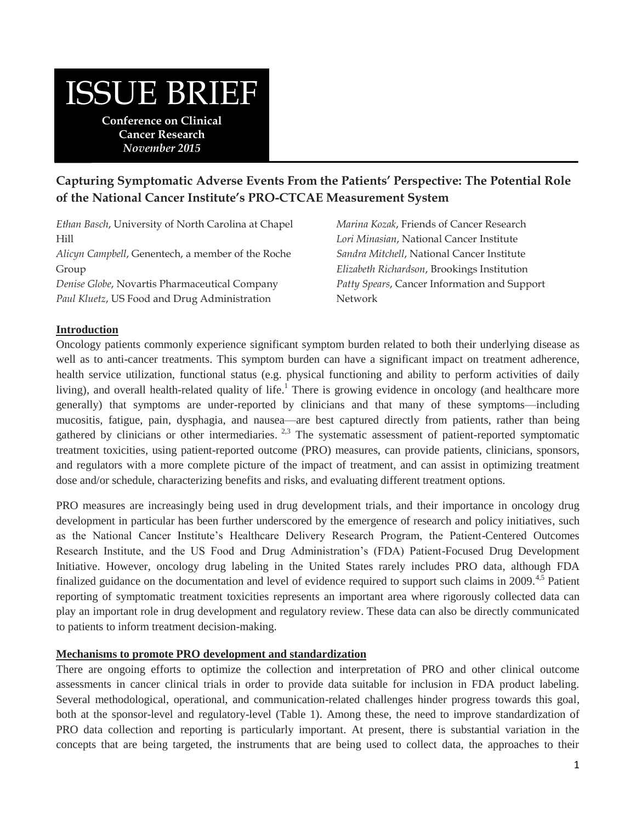# ISSUE BRIEF

**Conference on Clinical Cancer Research** *November 2015*

## **Capturing Symptomatic Adverse Events From the Patients' Perspective: The Potential Role of the National Cancer Institute's PRO-CTCAE Measurement System**

*Ethan Basch*, University of North Carolina at Chapel Hill *Alicyn Campbell*, Genentech, a member of the Roche Group *Denise Globe*, Novartis Pharmaceutical Company *Paul Kluetz*, US Food and Drug Administration

*Marina Kozak*, Friends of Cancer Research *Lori Minasian*, National Cancer Institute *Sandra Mitchell*, National Cancer Institute *Elizabeth Richardson*, Brookings Institution *Patty Spears*, Cancer Information and Support Network

## **Introduction**

Oncology patients commonly experience significant symptom burden related to both their underlying disease as well as to anti-cancer treatments. This symptom burden can have a significant impact on treatment adherence, health service utilization, functional status (e.g. physical functioning and ability to perform activities of daily living), and overall health-related quality of life.<sup>1</sup> There is growing evidence in oncology (and healthcare more generally) that symptoms are under-reported by clinicians and that many of these symptoms—including mucositis, fatigue, pain, dysphagia, and nausea—are best captured directly from patients, rather than being gathered by clinicians or other intermediaries.  $2,3$  The systematic assessment of patient-reported symptomatic treatment toxicities, using patient-reported outcome (PRO) measures, can provide patients, clinicians, sponsors, and regulators with a more complete picture of the impact of treatment, and can assist in optimizing treatment dose and/or schedule, characterizing benefits and risks, and evaluating different treatment options.

PRO measures are increasingly being used in drug development trials, and their importance in oncology drug development in particular has been further underscored by the emergence of research and policy initiatives, such as the National Cancer Institute's Healthcare Delivery Research Program, the Patient-Centered Outcomes Research Institute, and the US Food and Drug Administration's (FDA) Patient-Focused Drug Development Initiative. However, oncology drug labeling in the United States rarely includes PRO data, although FDA finalized guidance on the documentation and level of evidence required to support such claims in 2009.<sup>4,5</sup> Patient reporting of symptomatic treatment toxicities represents an important area where rigorously collected data can play an important role in drug development and regulatory review. These data can also be directly communicated to patients to inform treatment decision-making.

#### **Mechanisms to promote PRO development and standardization**

There are ongoing efforts to optimize the collection and interpretation of PRO and other clinical outcome assessments in cancer clinical trials in order to provide data suitable for inclusion in FDA product labeling. Several methodological, operational, and communication-related challenges hinder progress towards this goal, both at the sponsor-level and regulatory-level (Table 1). Among these, the need to improve standardization of PRO data collection and reporting is particularly important. At present, there is substantial variation in the concepts that are being targeted, the instruments that are being used to collect data, the approaches to their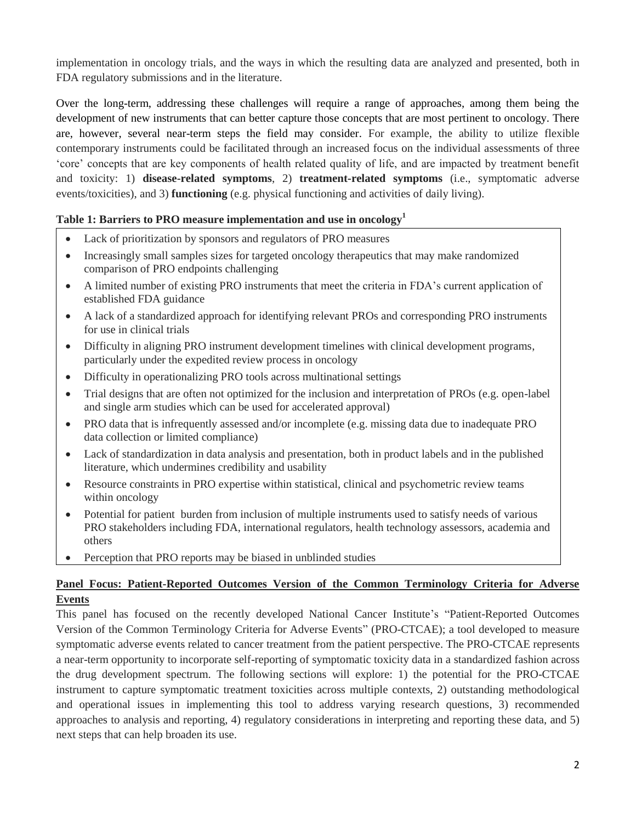implementation in oncology trials, and the ways in which the resulting data are analyzed and presented, both in FDA regulatory submissions and in the literature.

Over the long-term, addressing these challenges will require a range of approaches, among them being the development of new instruments that can better capture those concepts that are most pertinent to oncology. There are, however, several near-term steps the field may consider. For example, the ability to utilize flexible contemporary instruments could be facilitated through an increased focus on the individual assessments of three 'core' concepts that are key components of health related quality of life, and are impacted by treatment benefit and toxicity: 1) **disease-related symptoms**, 2) **treatment-related symptoms** (i.e., symptomatic adverse events/toxicities), and 3) **functioning** (e.g. physical functioning and activities of daily living).

## **Table 1: Barriers to PRO measure implementation and use in oncology<sup>1</sup>**

- Lack of prioritization by sponsors and regulators of PRO measures
- Increasingly small samples sizes for targeted oncology therapeutics that may make randomized comparison of PRO endpoints challenging
- A limited number of existing PRO instruments that meet the criteria in FDA's current application of established FDA guidance
- A lack of a standardized approach for identifying relevant PROs and corresponding PRO instruments for use in clinical trials
- Difficulty in aligning PRO instrument development timelines with clinical development programs, particularly under the expedited review process in oncology
- Difficulty in operationalizing PRO tools across multinational settings
- Trial designs that are often not optimized for the inclusion and interpretation of PROs (e.g. open-label and single arm studies which can be used for accelerated approval)
- PRO data that is infrequently assessed and/or incomplete (e.g. missing data due to inadequate PRO data collection or limited compliance)
- Lack of standardization in data analysis and presentation, both in product labels and in the published literature, which undermines credibility and usability
- Resource constraints in PRO expertise within statistical, clinical and psychometric review teams within oncology
- Potential for patient burden from inclusion of multiple instruments used to satisfy needs of various PRO stakeholders including FDA, international regulators, health technology assessors, academia and others
- Perception that PRO reports may be biased in unblinded studies

## **Panel Focus: Patient-Reported Outcomes Version of the Common Terminology Criteria for Adverse Events**

This panel has focused on the recently developed National Cancer Institute's "Patient-Reported Outcomes Version of the Common Terminology Criteria for Adverse Events" (PRO-CTCAE); a tool developed to measure symptomatic adverse events related to cancer treatment from the patient perspective. The PRO-CTCAE represents a near-term opportunity to incorporate self-reporting of symptomatic toxicity data in a standardized fashion across the drug development spectrum. The following sections will explore: 1) the potential for the PRO-CTCAE instrument to capture symptomatic treatment toxicities across multiple contexts, 2) outstanding methodological and operational issues in implementing this tool to address varying research questions, 3) recommended approaches to analysis and reporting, 4) regulatory considerations in interpreting and reporting these data, and 5) next steps that can help broaden its use.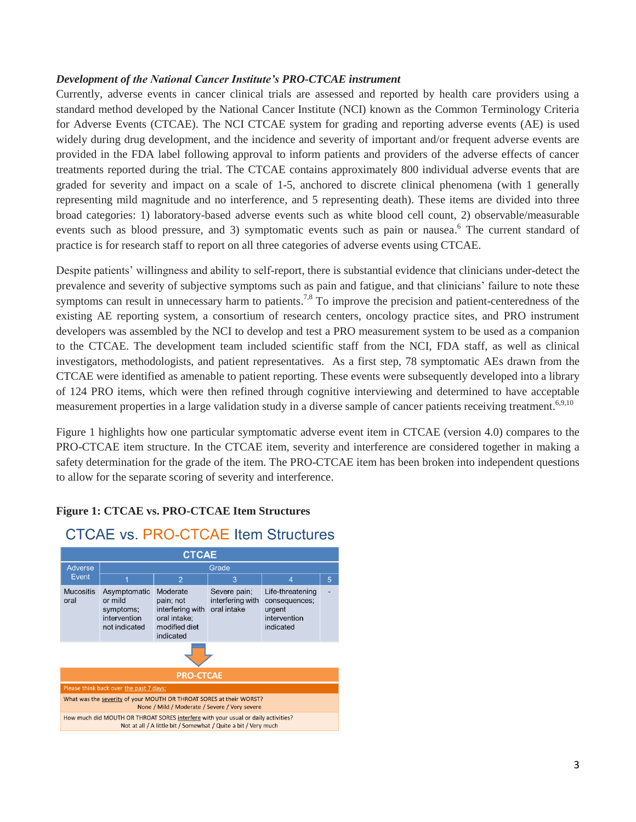## *Development of the National Cancer Institute's PRO-CTCAE instrument*

Currently, adverse events in cancer clinical trials are assessed and reported by health care providers using a standard method developed by the National Cancer Institute (NCI) known as the Common Terminology Criteria for Adverse Events (CTCAE). The NCI CTCAE system for grading and reporting adverse events (AE) is used widely during drug development, and the incidence and severity of important and/or frequent adverse events are provided in the FDA label following approval to inform patients and providers of the adverse effects of cancer treatments reported during the trial. The CTCAE contains approximately 800 individual adverse events that are graded for severity and impact on a scale of 1-5, anchored to discrete clinical phenomena (with 1 generally representing mild magnitude and no interference, and 5 representing death). These items are divided into three broad categories: 1) laboratory-based adverse events such as white blood cell count, 2) observable/measurable events such as blood pressure, and 3) symptomatic events such as pain or nausea.<sup>6</sup> The current standard of practice is for research staff to report on all three categories of adverse events using CTCAE.

Despite patients' willingness and ability to self-report, there is substantial evidence that clinicians under-detect the prevalence and severity of subjective symptoms such as pain and fatigue, and that clinicians' failure to note these symptoms can result in unnecessary harm to patients.<sup>7,8</sup> To improve the precision and patient-centeredness of the existing AE reporting system, a consortium of research centers, oncology practice sites, and PRO instrument developers was assembled by the NCI to develop and test a PRO measurement system to be used as a companion to the CTCAE. The development team included scientific staff from the NCI, FDA staff, as well as clinical investigators, methodologists, and patient representatives. As a first step, 78 symptomatic AEs drawn from the CTCAE were identified as amenable to patient reporting. These events were subsequently developed into a library of 124 PRO items, which were then refined through cognitive interviewing and determined to have acceptable measurement properties in a large validation study in a diverse sample of cancer patients receiving treatment.<sup>6,9,10</sup>

Figure 1 highlights how one particular symptomatic adverse event item in CTCAE (version 4.0) compares to the PRO-CTCAE item structure. In the CTCAE item, severity and interference are considered together in making a safety determination for the grade of the item. The PRO-CTCAE item has been broken into independent questions to allow for the separate scoring of severity and interference.

## **Figure 1: CTCAE vs. PRO-CTCAE Item Structures**

## **CTCAE vs. PRO-CTCAE Item Structures**

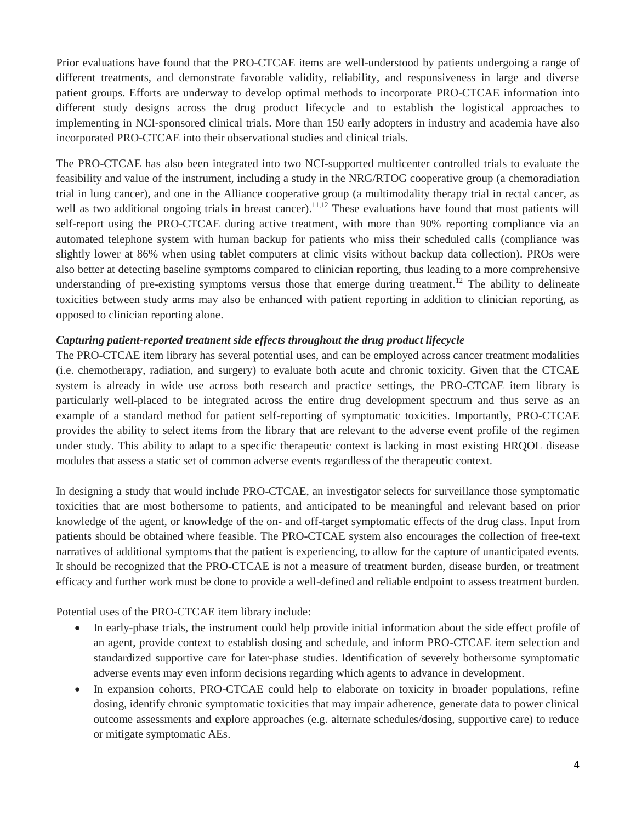Prior evaluations have found that the PRO-CTCAE items are well-understood by patients undergoing a range of different treatments, and demonstrate favorable validity, reliability, and responsiveness in large and diverse patient groups. Efforts are underway to develop optimal methods to incorporate PRO-CTCAE information into different study designs across the drug product lifecycle and to establish the logistical approaches to implementing in NCI-sponsored clinical trials. More than 150 early adopters in industry and academia have also incorporated PRO-CTCAE into their observational studies and clinical trials.

The PRO-CTCAE has also been integrated into two NCI-supported multicenter controlled trials to evaluate the feasibility and value of the instrument, including a study in the NRG/RTOG cooperative group (a chemoradiation trial in lung cancer), and one in the Alliance cooperative group (a multimodality therapy trial in rectal cancer, as well as two additional ongoing trials in breast cancer).<sup>11,12</sup> These evaluations have found that most patients will self-report using the PRO-CTCAE during active treatment, with more than 90% reporting compliance via an automated telephone system with human backup for patients who miss their scheduled calls (compliance was slightly lower at 86% when using tablet computers at clinic visits without backup data collection). PROs were also better at detecting baseline symptoms compared to clinician reporting, thus leading to a more comprehensive understanding of pre-existing symptoms versus those that emerge during treatment.<sup>12</sup> The ability to delineate toxicities between study arms may also be enhanced with patient reporting in addition to clinician reporting, as opposed to clinician reporting alone.

## *Capturing patient-reported treatment side effects throughout the drug product lifecycle*

The PRO-CTCAE item library has several potential uses, and can be employed across cancer treatment modalities (i.e. chemotherapy, radiation, and surgery) to evaluate both acute and chronic toxicity. Given that the CTCAE system is already in wide use across both research and practice settings, the PRO-CTCAE item library is particularly well-placed to be integrated across the entire drug development spectrum and thus serve as an example of a standard method for patient self-reporting of symptomatic toxicities. Importantly, PRO-CTCAE provides the ability to select items from the library that are relevant to the adverse event profile of the regimen under study. This ability to adapt to a specific therapeutic context is lacking in most existing HRQOL disease modules that assess a static set of common adverse events regardless of the therapeutic context.

In designing a study that would include PRO-CTCAE, an investigator selects for surveillance those symptomatic toxicities that are most bothersome to patients, and anticipated to be meaningful and relevant based on prior knowledge of the agent, or knowledge of the on- and off-target symptomatic effects of the drug class. Input from patients should be obtained where feasible. The PRO-CTCAE system also encourages the collection of free-text narratives of additional symptoms that the patient is experiencing, to allow for the capture of unanticipated events. It should be recognized that the PRO-CTCAE is not a measure of treatment burden, disease burden, or treatment efficacy and further work must be done to provide a well-defined and reliable endpoint to assess treatment burden.

Potential uses of the PRO-CTCAE item library include:

- In early-phase trials, the instrument could help provide initial information about the side effect profile of an agent, provide context to establish dosing and schedule, and inform PRO-CTCAE item selection and standardized supportive care for later-phase studies. Identification of severely bothersome symptomatic adverse events may even inform decisions regarding which agents to advance in development.
- In expansion cohorts, PRO-CTCAE could help to elaborate on toxicity in broader populations, refine dosing, identify chronic symptomatic toxicities that may impair adherence, generate data to power clinical outcome assessments and explore approaches (e.g. alternate schedules/dosing, supportive care) to reduce or mitigate symptomatic AEs.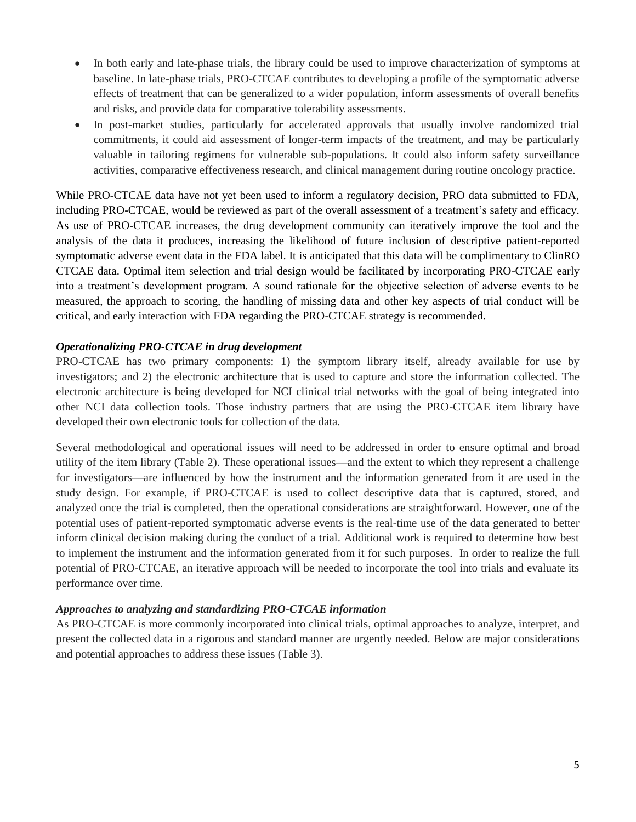- In both early and late-phase trials, the library could be used to improve characterization of symptoms at baseline. In late-phase trials, PRO-CTCAE contributes to developing a profile of the symptomatic adverse effects of treatment that can be generalized to a wider population, inform assessments of overall benefits and risks, and provide data for comparative tolerability assessments.
- In post-market studies, particularly for accelerated approvals that usually involve randomized trial commitments, it could aid assessment of longer-term impacts of the treatment, and may be particularly valuable in tailoring regimens for vulnerable sub-populations. It could also inform safety surveillance activities, comparative effectiveness research, and clinical management during routine oncology practice.

While PRO-CTCAE data have not yet been used to inform a regulatory decision, PRO data submitted to FDA, including PRO-CTCAE, would be reviewed as part of the overall assessment of a treatment's safety and efficacy. As use of PRO-CTCAE increases, the drug development community can iteratively improve the tool and the analysis of the data it produces, increasing the likelihood of future inclusion of descriptive patient-reported symptomatic adverse event data in the FDA label. It is anticipated that this data will be complimentary to ClinRO CTCAE data. Optimal item selection and trial design would be facilitated by incorporating PRO-CTCAE early into a treatment's development program. A sound rationale for the objective selection of adverse events to be measured, the approach to scoring, the handling of missing data and other key aspects of trial conduct will be critical, and early interaction with FDA regarding the PRO-CTCAE strategy is recommended.

## *Operationalizing PRO-CTCAE in drug development*

PRO-CTCAE has two primary components: 1) the symptom library itself, already available for use by investigators; and 2) the electronic architecture that is used to capture and store the information collected. The electronic architecture is being developed for NCI clinical trial networks with the goal of being integrated into other NCI data collection tools. Those industry partners that are using the PRO-CTCAE item library have developed their own electronic tools for collection of the data.

Several methodological and operational issues will need to be addressed in order to ensure optimal and broad utility of the item library (Table 2). These operational issues—and the extent to which they represent a challenge for investigators—are influenced by how the instrument and the information generated from it are used in the study design. For example, if PRO-CTCAE is used to collect descriptive data that is captured, stored, and analyzed once the trial is completed, then the operational considerations are straightforward. However, one of the potential uses of patient-reported symptomatic adverse events is the real-time use of the data generated to better inform clinical decision making during the conduct of a trial. Additional work is required to determine how best to implement the instrument and the information generated from it for such purposes. In order to realize the full potential of PRO-CTCAE, an iterative approach will be needed to incorporate the tool into trials and evaluate its performance over time.

#### *Approaches to analyzing and standardizing PRO-CTCAE information*

As PRO-CTCAE is more commonly incorporated into clinical trials, optimal approaches to analyze, interpret, and present the collected data in a rigorous and standard manner are urgently needed. Below are major considerations and potential approaches to address these issues (Table 3).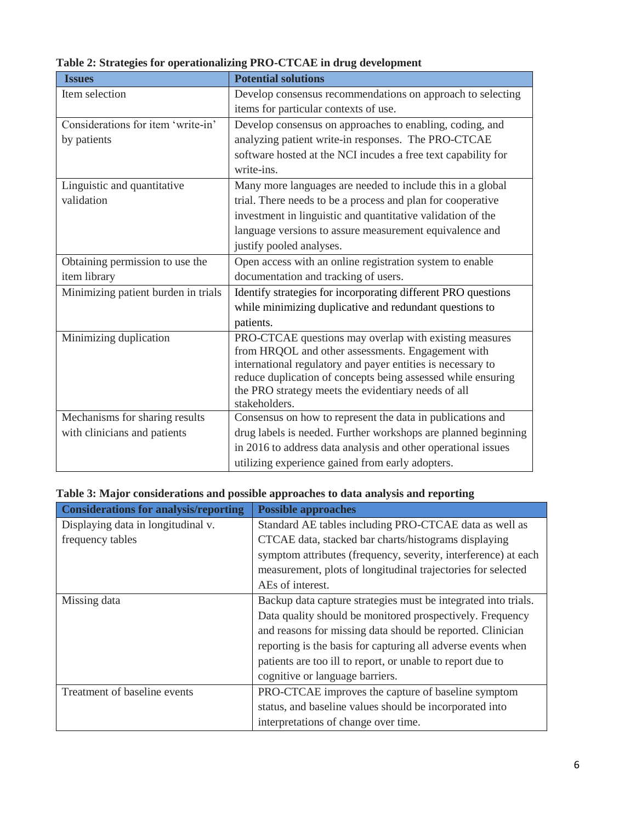| <b>Issues</b>                       | <b>Potential solutions</b>                                                                                          |
|-------------------------------------|---------------------------------------------------------------------------------------------------------------------|
| Item selection                      | Develop consensus recommendations on approach to selecting                                                          |
|                                     | items for particular contexts of use.                                                                               |
| Considerations for item 'write-in'  | Develop consensus on approaches to enabling, coding, and                                                            |
| by patients                         | analyzing patient write-in responses. The PRO-CTCAE                                                                 |
|                                     | software hosted at the NCI incudes a free text capability for                                                       |
|                                     | write-ins.                                                                                                          |
| Linguistic and quantitative         | Many more languages are needed to include this in a global                                                          |
| validation                          | trial. There needs to be a process and plan for cooperative                                                         |
|                                     | investment in linguistic and quantitative validation of the                                                         |
|                                     | language versions to assure measurement equivalence and                                                             |
|                                     | justify pooled analyses.                                                                                            |
| Obtaining permission to use the     | Open access with an online registration system to enable                                                            |
| item library                        | documentation and tracking of users.                                                                                |
| Minimizing patient burden in trials | Identify strategies for incorporating different PRO questions                                                       |
|                                     | while minimizing duplicative and redundant questions to                                                             |
|                                     | patients.                                                                                                           |
| Minimizing duplication              | PRO-CTCAE questions may overlap with existing measures                                                              |
|                                     | from HRQOL and other assessments. Engagement with                                                                   |
|                                     | international regulatory and payer entities is necessary to                                                         |
|                                     | reduce duplication of concepts being assessed while ensuring<br>the PRO strategy meets the evidentiary needs of all |
|                                     | stakeholders.                                                                                                       |
| Mechanisms for sharing results      | Consensus on how to represent the data in publications and                                                          |
| with clinicians and patients        | drug labels is needed. Further workshops are planned beginning                                                      |
|                                     | in 2016 to address data analysis and other operational issues                                                       |
|                                     | utilizing experience gained from early adopters.                                                                    |

**Table 2: Strategies for operationalizing PRO-CTCAE in drug development**

| <b>Considerations for analysis/reporting</b> | <b>Possible approaches</b>                                     |
|----------------------------------------------|----------------------------------------------------------------|
| Displaying data in longitudinal v.           | Standard AE tables including PRO-CTCAE data as well as         |
| frequency tables                             | CTCAE data, stacked bar charts/histograms displaying           |
|                                              | symptom attributes (frequency, severity, interference) at each |
|                                              | measurement, plots of longitudinal trajectories for selected   |
|                                              | AEs of interest.                                               |
| Missing data                                 | Backup data capture strategies must be integrated into trials. |
|                                              | Data quality should be monitored prospectively. Frequency      |
|                                              | and reasons for missing data should be reported. Clinician     |
|                                              | reporting is the basis for capturing all adverse events when   |
|                                              | patients are too ill to report, or unable to report due to     |
|                                              | cognitive or language barriers.                                |
| Treatment of baseline events                 | PRO-CTCAE improves the capture of baseline symptom             |
|                                              | status, and baseline values should be incorporated into        |
|                                              | interpretations of change over time.                           |

## **Table 3: Major considerations and possible approaches to data analysis and reporting**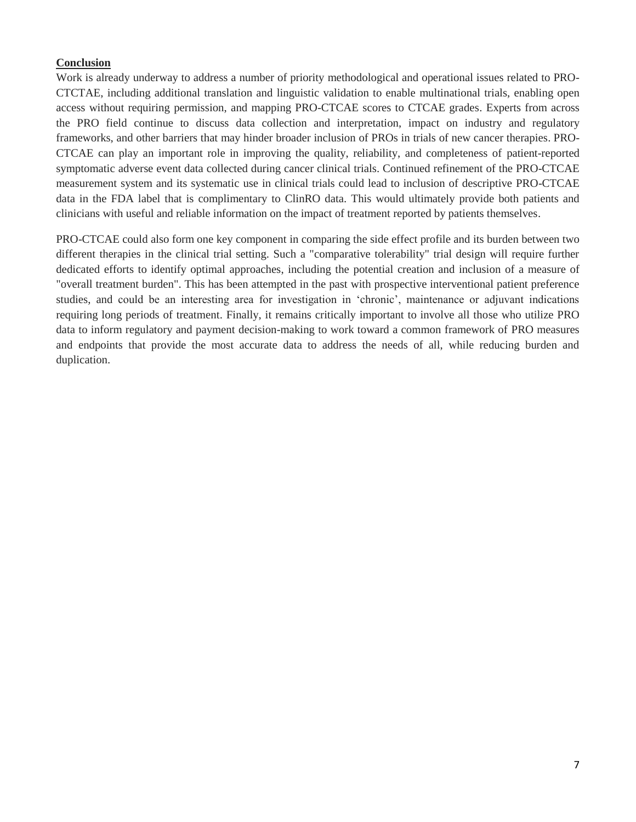## **Conclusion**

Work is already underway to address a number of priority methodological and operational issues related to PRO-CTCTAE, including additional translation and linguistic validation to enable multinational trials, enabling open access without requiring permission, and mapping PRO-CTCAE scores to CTCAE grades. Experts from across the PRO field continue to discuss data collection and interpretation, impact on industry and regulatory frameworks, and other barriers that may hinder broader inclusion of PROs in trials of new cancer therapies. PRO-CTCAE can play an important role in improving the quality, reliability, and completeness of patient-reported symptomatic adverse event data collected during cancer clinical trials. Continued refinement of the PRO-CTCAE measurement system and its systematic use in clinical trials could lead to inclusion of descriptive PRO-CTCAE data in the FDA label that is complimentary to ClinRO data. This would ultimately provide both patients and clinicians with useful and reliable information on the impact of treatment reported by patients themselves.

PRO-CTCAE could also form one key component in comparing the side effect profile and its burden between two different therapies in the clinical trial setting. Such a "comparative tolerability" trial design will require further dedicated efforts to identify optimal approaches, including the potential creation and inclusion of a measure of "overall treatment burden". This has been attempted in the past with prospective interventional patient preference studies, and could be an interesting area for investigation in 'chronic', maintenance or adjuvant indications requiring long periods of treatment. Finally, it remains critically important to involve all those who utilize PRO data to inform regulatory and payment decision-making to work toward a common framework of PRO measures and endpoints that provide the most accurate data to address the needs of all, while reducing burden and duplication.